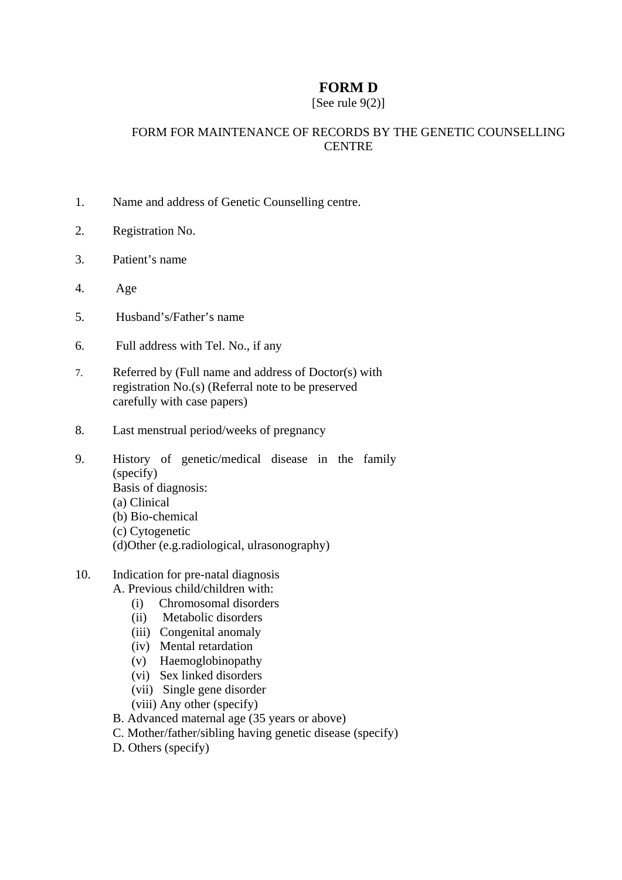## **FORM D**

## [See rule  $9(2)$ ]

## FORM FOR MAINTENANCE OF RECORDS BY THE GENETIC COUNSELLING CENTRE

- 1. Name and address of Genetic Counselling centre.
- 2. Registration No.
- 3. Patient's name
- 4. Age
- 5. Husband's/Father's name
- 6. Full address with Tel. No., if any
- 7. Referred by (Full name and address of Doctor(s) with registration No.(s) (Referral note to be preserved carefully with case papers)
- 8. Last menstrual period/weeks of pregnancy
- 9. History of genetic/medical disease in the family (specify) Basis of diagnosis: (a) Clinical (b) Bio-chemical (c) Cytogenetic
	- (d)Other (e.g.radiological, ulrasonography)
- 10. Indication for pre-natal diagnosis A. Previous child/children with:
	- (i) Chromosomal disorders
	- (ii) Metabolic disorders
	- (iii) Congenital anomaly
	- (iv) Mental retardation
	- (v) Haemoglobinopathy
	- $(vi)$  Sex linked disorders
	- (vii) Single gene disorder
	- (viii) Any other (specify)
	- B. Advanced maternal age (35 years or above)
	- C. Mother/father/sibling having genetic disease (specify)
	- D. Others (specify)